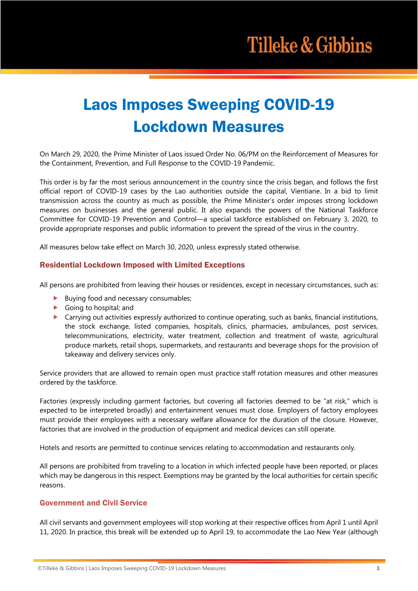# Laos Imposes Sweeping COVID-19 Lockdown Measures

On March 29, 2020, the Prime Minister of Laos issued Order No. 06/PM on the Reinforcement of Measures for the Containment, Prevention, and Full Response to the COVID-19 Pandemic.

This order is by far the most serious announcement in the country since the crisis began, and follows the first official report of COVID-19 cases by the Lao authorities outside the capital, Vientiane. In a bid to limit transmission across the country as much as possible, the Prime Minister's order imposes strong lockdown measures on businesses and the general public. It also expands the powers of the National Taskforce Committee for COVID-19 Prevention and Control—a special taskforce established on February 3, 2020, to provide appropriate responses and public information to prevent the spread of the virus in the country.

All measures below take effect on March 30, 2020, unless expressly stated otherwise.

## Residential Lockdown Imposed with Limited Exceptions

All persons are prohibited from leaving their houses or residences, except in necessary circumstances, such as:

- $\blacktriangleright$  Buying food and necessary consumables;
- $\blacktriangleright$  Going to hospital; and
- $\triangleright$  Carrying out activities expressly authorized to continue operating, such as banks, financial institutions, the stock exchange, listed companies, hospitals, clinics, pharmacies, ambulances, post services, telecommunications, electricity, water treatment, collection and treatment of waste, agricultural produce markets, retail shops, supermarkets, and restaurants and beverage shops for the provision of takeaway and delivery services only.

Service providers that are allowed to remain open must practice staff rotation measures and other measures ordered by the taskforce.

Factories (expressly including garment factories, but covering all factories deemed to be "at risk," which is expected to be interpreted broadly) and entertainment venues must close. Employers of factory employees must provide their employees with a necessary welfare allowance for the duration of the closure. However, factories that are involved in the production of equipment and medical devices can still operate.

Hotels and resorts are permitted to continue services relating to accommodation and restaurants only.

All persons are prohibited from traveling to a location in which infected people have been reported, or places which may be dangerous in this respect. Exemptions may be granted by the local authorities for certain specific reasons.

## Government and Civil Service

All civil servants and government employees will stop working at their respective offices from April 1 until April 11, 2020. In practice, this break will be extended up to April 19, to accommodate the Lao New Year (although